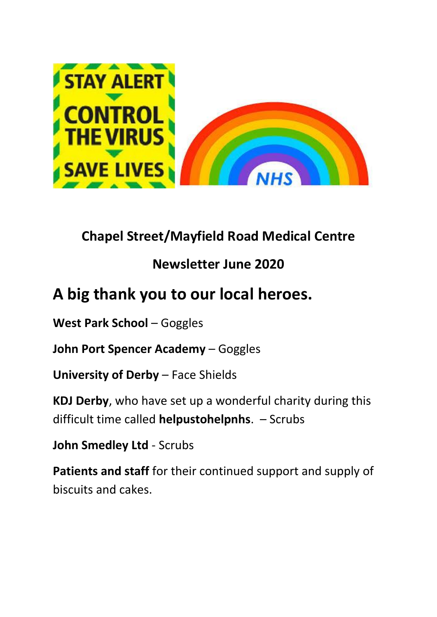

## **Chapel Street/Mayfield Road Medical Centre**

### **Newsletter June 2020**

# **A big thank you to our local heroes.**

**West Park School** – Goggles

**John Port Spencer Academy** – Goggles

**University of Derby** – Face Shields

**KDJ Derby**, who have set up a wonderful charity during this difficult time called **helpustohelpnhs**. – Scrubs

**John Smedley Ltd** - Scrubs

**Patients and staff** for their continued support and supply of biscuits and cakes.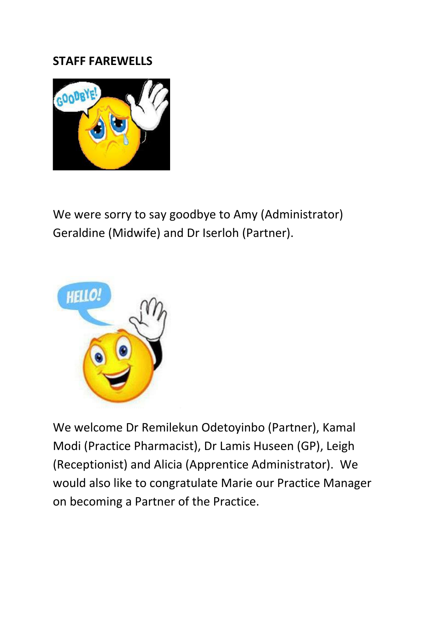#### **STAFF FAREWELLS**



We were sorry to say goodbye to Amy (Administrator) Geraldine (Midwife) and Dr Iserloh (Partner).



We welcome Dr Remilekun Odetoyinbo (Partner), Kamal Modi (Practice Pharmacist), Dr Lamis Huseen (GP), Leigh (Receptionist) and Alicia (Apprentice Administrator). We would also like to congratulate Marie our Practice Manager on becoming a Partner of the Practice.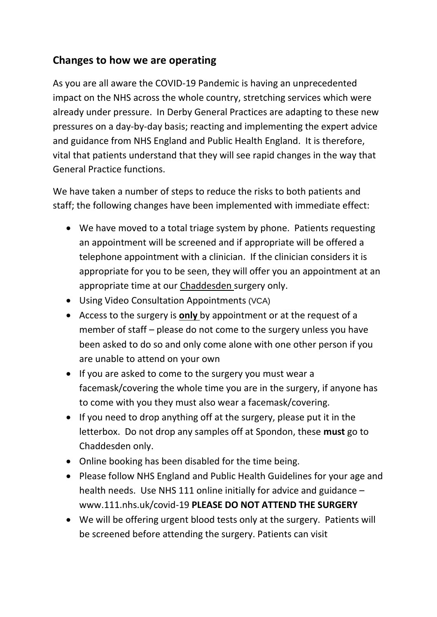#### **Changes to how we are operating**

As you are all aware the COVID-19 Pandemic is having an unprecedented impact on the NHS across the whole country, stretching services which were already under pressure. In Derby General Practices are adapting to these new pressures on a day-by-day basis; reacting and implementing the expert advice and guidance from NHS England and Public Health England. It is therefore, vital that patients understand that they will see rapid changes in the way that General Practice functions.

We have taken a number of steps to reduce the risks to both patients and staff; the following changes have been implemented with immediate effect:

- We have moved to a total triage system by phone. Patients requesting an appointment will be screened and if appropriate will be offered a telephone appointment with a clinician. If the clinician considers it is appropriate for you to be seen, they will offer you an appointment at an appropriate time at our Chaddesden surgery only.
- Using Video Consultation Appointments (VCA)
- Access to the surgery is **only** by appointment or at the request of a member of staff – please do not come to the surgery unless you have been asked to do so and only come alone with one other person if you are unable to attend on your own
- If you are asked to come to the surgery you must wear a facemask/covering the whole time you are in the surgery, if anyone has to come with you they must also wear a facemask/covering.
- If you need to drop anything off at the surgery, please put it in the letterbox. Do not drop any samples off at Spondon, these **must** go to Chaddesden only.
- Online booking has been disabled for the time being.
- Please follow NHS England and Public Health Guidelines for your age and health needs. Use NHS 111 online initially for advice and guidance – www.111.nhs.uk/covid-19 **PLEASE DO NOT ATTEND THE SURGERY**
- We will be offering urgent blood tests only at the surgery. Patients will be screened before attending the surgery. Patients can visit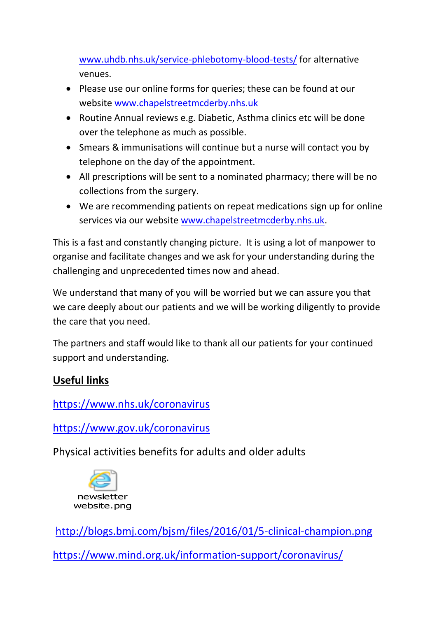[www.uhdb.nhs.uk/service-phlebotomy-blood-tests/](http://www.uhdb.nhs.uk/service-phlebotomy-blood-tests/) for alternative venues.

- Please use our online forms for queries; these can be found at our website [www.chapelstreetmcderby.nhs.uk](http://www.chapelstreetmcderby.nhs.uk/)
- Routine Annual reviews e.g. Diabetic, Asthma clinics etc will be done over the telephone as much as possible.
- Smears & immunisations will continue but a nurse will contact you by telephone on the day of the appointment.
- All prescriptions will be sent to a nominated pharmacy; there will be no collections from the surgery.
- We are recommending patients on repeat medications sign up for online services via our website [www.chapelstreetmcderby.nhs.uk.](http://www.chapelstreetmcderby.nhs.uk/)

This is a fast and constantly changing picture. It is using a lot of manpower to organise and facilitate changes and we ask for your understanding during the challenging and unprecedented times now and ahead.

We understand that many of you will be worried but we can assure you that we care deeply about our patients and we will be working diligently to provide the care that you need.

The partners and staff would like to thank all our patients for your continued support and understanding.

#### **Useful links**

<https://www.nhs.uk/coronavirus>

<https://www.gov.uk/coronavirus>

Physical activities benefits for adults and older adults



<http://blogs.bmj.com/bjsm/files/2016/01/5-clinical-champion.png> <https://www.mind.org.uk/information-support/coronavirus/>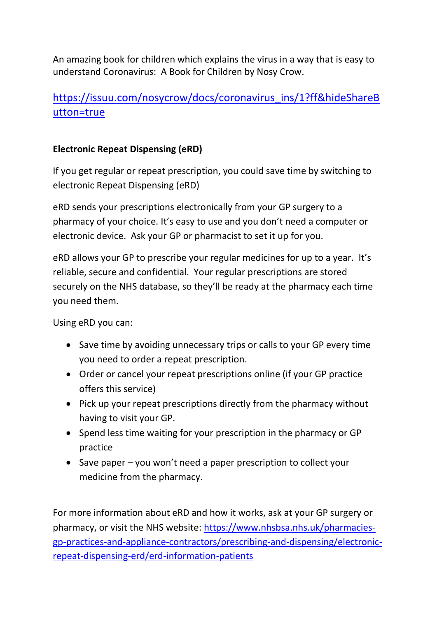An amazing book for children which explains the virus in a way that is easy to understand Coronavirus: A Book for Children by Nosy Crow.

#### [https://issuu.com/nosycrow/docs/coronavirus\\_ins/1?ff&hideShareB](https://issuu.com/nosycrow/docs/coronavirus_ins/1?ff&hideShareButton=true) [utton=true](https://issuu.com/nosycrow/docs/coronavirus_ins/1?ff&hideShareButton=true)

#### **Electronic Repeat Dispensing (eRD)**

If you get regular or repeat prescription, you could save time by switching to electronic Repeat Dispensing (eRD)

eRD sends your prescriptions electronically from your GP surgery to a pharmacy of your choice. It's easy to use and you don't need a computer or electronic device. Ask your GP or pharmacist to set it up for you.

eRD allows your GP to prescribe your regular medicines for up to a year. It's reliable, secure and confidential. Your regular prescriptions are stored securely on the NHS database, so they'll be ready at the pharmacy each time you need them.

Using eRD you can:

- Save time by avoiding unnecessary trips or calls to your GP every time you need to order a repeat prescription.
- Order or cancel your repeat prescriptions online (if your GP practice offers this service)
- Pick up your repeat prescriptions directly from the pharmacy without having to visit your GP.
- Spend less time waiting for your prescription in the pharmacy or GP practice
- Save paper you won't need a paper prescription to collect your medicine from the pharmacy.

For more information about eRD and how it works, ask at your GP surgery or pharmacy, or visit the NHS website: [https://www.nhsbsa.nhs.uk/pharmacies](https://www.nhsbsa.nhs.uk/pharmacies-gp-practices-and-appliance-contractors/prescribing-and-dispensing/electronic-repeat-dispensing-erd/erd-information-patients)[gp-practices-and-appliance-contractors/prescribing-and-dispensing/electronic](https://www.nhsbsa.nhs.uk/pharmacies-gp-practices-and-appliance-contractors/prescribing-and-dispensing/electronic-repeat-dispensing-erd/erd-information-patients)[repeat-dispensing-erd/erd-information-patients](https://www.nhsbsa.nhs.uk/pharmacies-gp-practices-and-appliance-contractors/prescribing-and-dispensing/electronic-repeat-dispensing-erd/erd-information-patients)